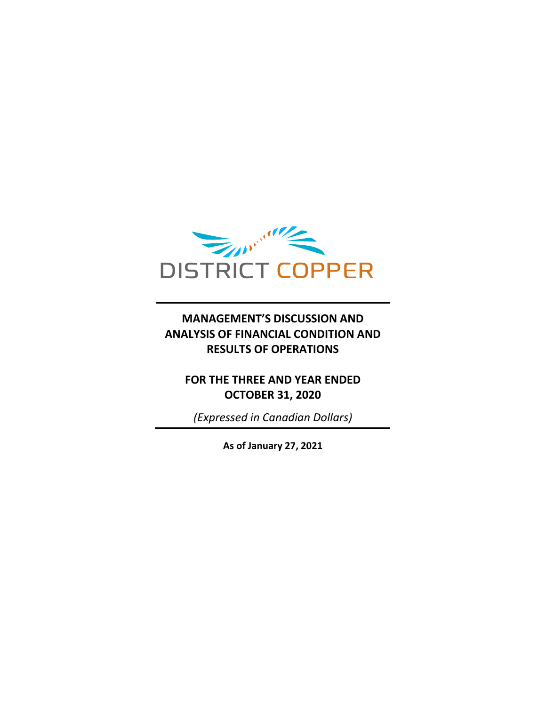

## **MANAGEMENT'S DISCUSSION AND ANALYSIS OF FINANCIAL CONDITION AND RESULTS OF OPERATIONS**

## **FOR THE THREE AND YEAR ENDED OCTOBER 31, 2020**

*(Expressed in Canadian Dollars)*

**As of January 27, 2021**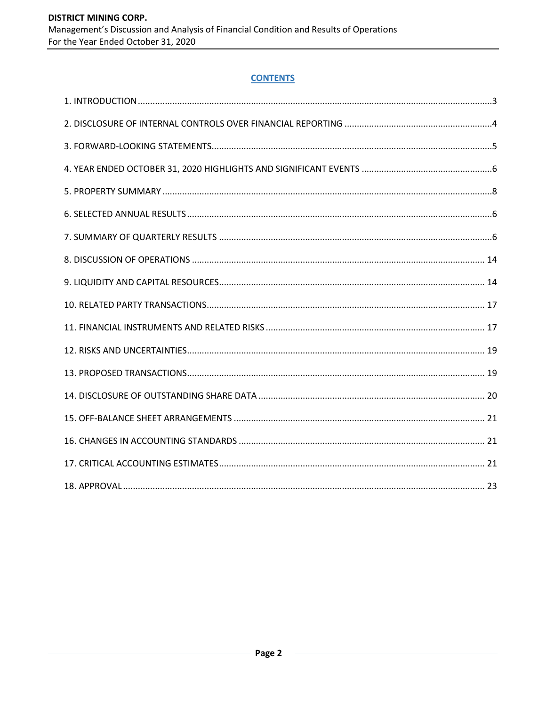### **CONTENTS**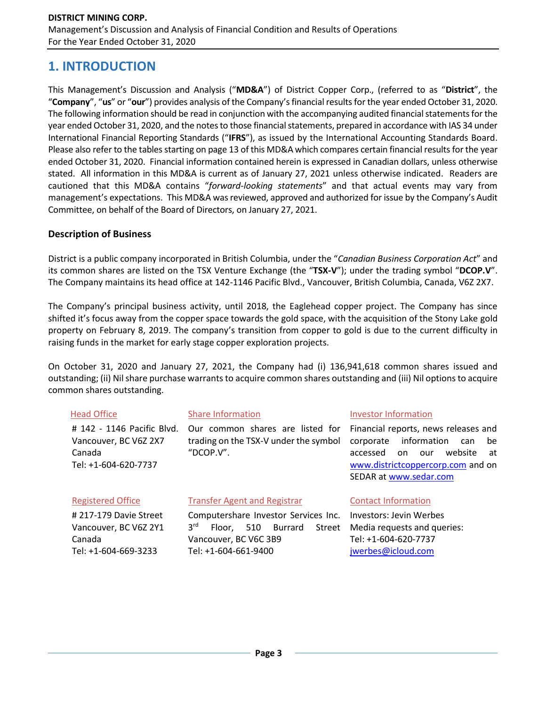## **1. INTRODUCTION**

This Management's Discussion and Analysis ("**MD&A**") of District Copper Corp., (referred to as "**District**", the "**Company**", "**us**" or "**our**") provides analysis of the Company's financial results for the year ended October 31, 2020. The following information should be read in conjunction with the accompanying audited financial statements for the year ended October 31, 2020, and the notes to those financial statements, prepared in accordance with IAS 34 under International Financial Reporting Standards ("**IFRS**"), as issued by the International Accounting Standards Board. Please also refer to the tables starting on page 13 of this MD&A which compares certain financial results for the year ended October 31, 2020. Financial information contained herein is expressed in Canadian dollars, unless otherwise stated. All information in this MD&A is current as of January 27, 2021 unless otherwise indicated. Readers are cautioned that this MD&A contains "*forward-looking statements*" and that actual events may vary from management's expectations. This MD&A was reviewed, approved and authorized for issue by the Company's Audit Committee, on behalf of the Board of Directors, on January 27, 2021.

## **Description of Business**

Tel: +1-604-669-3233

District is a public company incorporated in British Columbia, under the "*Canadian Business Corporation Act*" and its common shares are listed on the TSX Venture Exchange (the "**TSX-V**"); under the trading symbol "**DCOP.V**". The Company maintains its head office at 142-1146 Pacific Blvd., Vancouver, British Columbia, Canada, V6Z 2X7.

The Company's principal business activity, until 2018, the Eaglehead copper project. The Company has since shifted it's focus away from the copper space towards the gold space, with the acquisition of the Stony Lake gold property on February 8, 2019. The company's transition from copper to gold is due to the current difficulty in raising funds in the market for early stage copper exploration projects.

On October 31, 2020 and January 27, 2021, the Company had (i) 136,941,618 common shares issued and outstanding; (ii) Nil share purchase warrants to acquire common shares outstanding and (iii) Nil options to acquire common shares outstanding.

| <b>Head Office</b><br># 142 - 1146 Pacific Blvd.<br>Vancouver, BC V6Z 2X7<br>Canada<br>Tel: +1-604-620-7737 | <b>Share Information</b><br>Our common shares are listed for<br>trading on the TSX-V under the symbol<br>"DCOP.V".     | <b>Investor Information</b><br>Financial reports, news releases and<br>information<br>corporate<br>can<br>be<br>website<br>accessed<br>on.<br>our<br>at<br>www.districtcoppercorp.com and on<br>SEDAR at www.sedar.com |  |  |
|-------------------------------------------------------------------------------------------------------------|------------------------------------------------------------------------------------------------------------------------|------------------------------------------------------------------------------------------------------------------------------------------------------------------------------------------------------------------------|--|--|
| <b>Registered Office</b>                                                                                    | <b>Transfer Agent and Registrar</b>                                                                                    | <b>Contact Information</b>                                                                                                                                                                                             |  |  |
| #217-179 Davie Street<br>Vancouver, BC V6Z 2Y1<br>Canada                                                    | Computershare Investor Services Inc.<br>3 <sup>rd</sup><br>Street<br>510<br>Burrard<br>Floor.<br>Vancouver, BC V6C 3B9 | Investors: Jevin Werbes<br>Media requests and queries:<br>Tel: +1-604-620-7737                                                                                                                                         |  |  |

[jwerbes@icloud.com](mailto:jwerbes@icloud.com)

Tel: +1-604-661-9400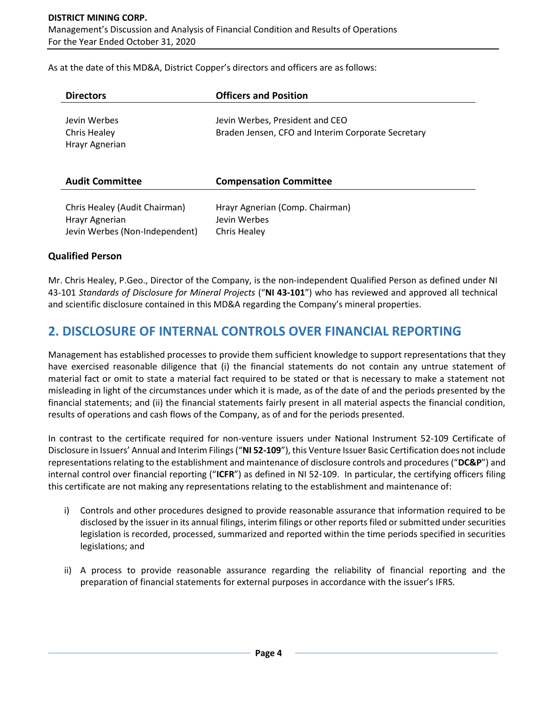As at the date of this MD&A, District Copper's directors and officers are as follows:

| <b>Directors</b>                                                                  | <b>Officers and Position</b>                                                          |
|-----------------------------------------------------------------------------------|---------------------------------------------------------------------------------------|
| Jevin Werbes<br>Chris Healey<br>Hrayr Agnerian                                    | Jevin Werbes, President and CEO<br>Braden Jensen, CFO and Interim Corporate Secretary |
| <b>Audit Committee</b>                                                            | <b>Compensation Committee</b>                                                         |
| Chris Healey (Audit Chairman)<br>Hrayr Agnerian<br>Jevin Werbes (Non-Independent) | Hrayr Agnerian (Comp. Chairman)<br>Jevin Werbes<br>Chris Healey                       |

### **Qualified Person**

Mr. Chris Healey, P.Geo., Director of the Company, is the non-independent Qualified Person as defined under NI 43-101 *Standards of Disclosure for Mineral Projects* ("**NI 43-101**") who has reviewed and approved all technical and scientific disclosure contained in this MD&A regarding the Company's mineral properties.

## **2. DISCLOSURE OF INTERNAL CONTROLS OVER FINANCIAL REPORTING**

Management has established processes to provide them sufficient knowledge to support representations that they have exercised reasonable diligence that (i) the financial statements do not contain any untrue statement of material fact or omit to state a material fact required to be stated or that is necessary to make a statement not misleading in light of the circumstances under which it is made, as of the date of and the periods presented by the financial statements; and (ii) the financial statements fairly present in all material aspects the financial condition, results of operations and cash flows of the Company, as of and for the periods presented.

In contrast to the certificate required for non-venture issuers under National Instrument 52-109 Certificate of Disclosure in Issuers' Annual and Interim Filings ("**NI 52-109**"), this Venture Issuer Basic Certification does not include representations relating to the establishment and maintenance of disclosure controls and procedures ("**DC&P**") and internal control over financial reporting ("**ICFR**") as defined in NI 52-109. In particular, the certifying officers filing this certificate are not making any representations relating to the establishment and maintenance of:

- i) Controls and other procedures designed to provide reasonable assurance that information required to be disclosed by the issuer in its annual filings, interim filings or other reports filed or submitted under securities legislation is recorded, processed, summarized and reported within the time periods specified in securities legislations; and
- ii) A process to provide reasonable assurance regarding the reliability of financial reporting and the preparation of financial statements for external purposes in accordance with the issuer's IFRS.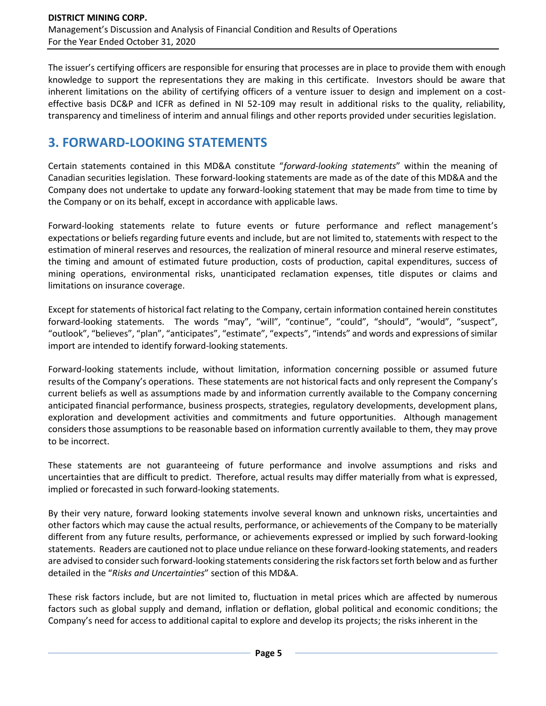The issuer's certifying officers are responsible for ensuring that processes are in place to provide them with enough knowledge to support the representations they are making in this certificate. Investors should be aware that inherent limitations on the ability of certifying officers of a venture issuer to design and implement on a costeffective basis DC&P and ICFR as defined in NI 52-109 may result in additional risks to the quality, reliability, transparency and timeliness of interim and annual filings and other reports provided under securities legislation.

# **3. FORWARD-LOOKING STATEMENTS**

Certain statements contained in this MD&A constitute "*forward-looking statements*" within the meaning of Canadian securities legislation. These forward-looking statements are made as of the date of this MD&A and the Company does not undertake to update any forward-looking statement that may be made from time to time by the Company or on its behalf, except in accordance with applicable laws.

Forward-looking statements relate to future events or future performance and reflect management's expectations or beliefs regarding future events and include, but are not limited to, statements with respect to the estimation of mineral reserves and resources, the realization of mineral resource and mineral reserve estimates, the timing and amount of estimated future production, costs of production, capital expenditures, success of mining operations, environmental risks, unanticipated reclamation expenses, title disputes or claims and limitations on insurance coverage.

Except for statements of historical fact relating to the Company, certain information contained herein constitutes forward-looking statements. The words "may", "will", "continue", "could", "should", "would", "suspect", "outlook", "believes", "plan", "anticipates", "estimate", "expects", "intends" and words and expressions of similar import are intended to identify forward-looking statements.

Forward-looking statements include, without limitation, information concerning possible or assumed future results of the Company's operations. These statements are not historical facts and only represent the Company's current beliefs as well as assumptions made by and information currently available to the Company concerning anticipated financial performance, business prospects, strategies, regulatory developments, development plans, exploration and development activities and commitments and future opportunities. Although management considers those assumptions to be reasonable based on information currently available to them, they may prove to be incorrect.

These statements are not guaranteeing of future performance and involve assumptions and risks and uncertainties that are difficult to predict. Therefore, actual results may differ materially from what is expressed, implied or forecasted in such forward-looking statements.

By their very nature, forward looking statements involve several known and unknown risks, uncertainties and other factors which may cause the actual results, performance, or achievements of the Company to be materially different from any future results, performance, or achievements expressed or implied by such forward-looking statements. Readers are cautioned not to place undue reliance on these forward-looking statements, and readers are advised to consider such forward-looking statements considering the risk factors set forth below and as further detailed in the "*Risks and Uncertainties*" section of this MD&A.

These risk factors include, but are not limited to, fluctuation in metal prices which are affected by numerous factors such as global supply and demand, inflation or deflation, global political and economic conditions; the Company's need for access to additional capital to explore and develop its projects; the risks inherent in the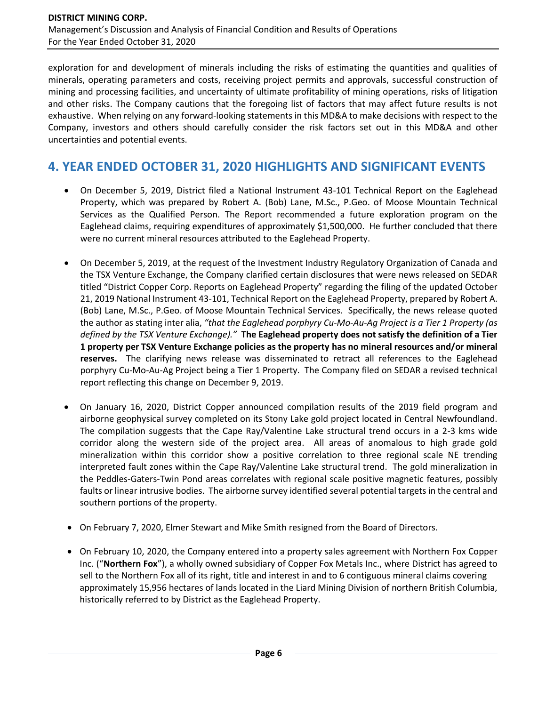exploration for and development of minerals including the risks of estimating the quantities and qualities of minerals, operating parameters and costs, receiving project permits and approvals, successful construction of mining and processing facilities, and uncertainty of ultimate profitability of mining operations, risks of litigation and other risks. The Company cautions that the foregoing list of factors that may affect future results is not exhaustive. When relying on any forward-looking statements in this MD&A to make decisions with respect to the Company, investors and others should carefully consider the risk factors set out in this MD&A and other uncertainties and potential events.

# **4. YEAR ENDED OCTOBER 31, 2020 HIGHLIGHTS AND SIGNIFICANT EVENTS**

- On December 5, 2019, District filed a National Instrument 43-101 Technical Report on the Eaglehead Property, which was prepared by Robert A. (Bob) Lane, M.Sc., P.Geo. of Moose Mountain Technical Services as the Qualified Person. The Report recommended a future exploration program on the Eaglehead claims, requiring expenditures of approximately \$1,500,000. He further concluded that there were no current mineral resources attributed to the Eaglehead Property.
- On December 5, 2019, at the request of the Investment Industry Regulatory Organization of Canada and the TSX Venture Exchange, the Company clarified certain disclosures that were news released on SEDAR titled "District Copper Corp. Reports on Eaglehead Property" regarding the filing of the updated October 21, 2019 National Instrument 43-101, Technical Report on the Eaglehead Property, prepared by Robert A. (Bob) Lane, M.Sc., P.Geo. of Moose Mountain Technical Services. Specifically, the news release quoted the author as stating inter alia, *"that the Eaglehead porphyry Cu-Mo-Au-Ag Project is a Tier 1 Property (as defined by the TSX Venture Exchange)."* **The Eaglehead property does not satisfy the definition of a Tier 1 property per TSX Venture Exchange policies as the property has no mineral resources and/or mineral reserves.** The clarifying news release was disseminated to retract all references to the Eaglehead porphyry Cu-Mo-Au-Ag Project being a Tier 1 Property. The Company filed on SEDAR a revised technical report reflecting this change on December 9, 2019.
- On January 16, 2020, District Copper announced compilation results of the 2019 field program and airborne geophysical survey completed on its Stony Lake gold project located in Central Newfoundland. The compilation suggests that the Cape Ray/Valentine Lake structural trend occurs in a 2-3 kms wide corridor along the western side of the project area. All areas of anomalous to high grade gold mineralization within this corridor show a positive correlation to three regional scale NE trending interpreted fault zones within the Cape Ray/Valentine Lake structural trend. The gold mineralization in the Peddles-Gaters-Twin Pond areas correlates with regional scale positive magnetic features, possibly faults or linear intrusive bodies. The airborne survey identified several potential targets in the central and southern portions of the property.
- On February 7, 2020, Elmer Stewart and Mike Smith resigned from the Board of Directors.
- On February 10, 2020, the Company entered into a property sales agreement with Northern Fox Copper Inc. ("**Northern Fox**"), a wholly owned subsidiary of Copper Fox Metals Inc., where District has agreed to sell to the Northern Fox all of its right, title and interest in and to 6 contiguous mineral claims covering approximately 15,956 hectares of lands located in the Liard Mining Division of northern British Columbia, historically referred to by District as the Eaglehead Property.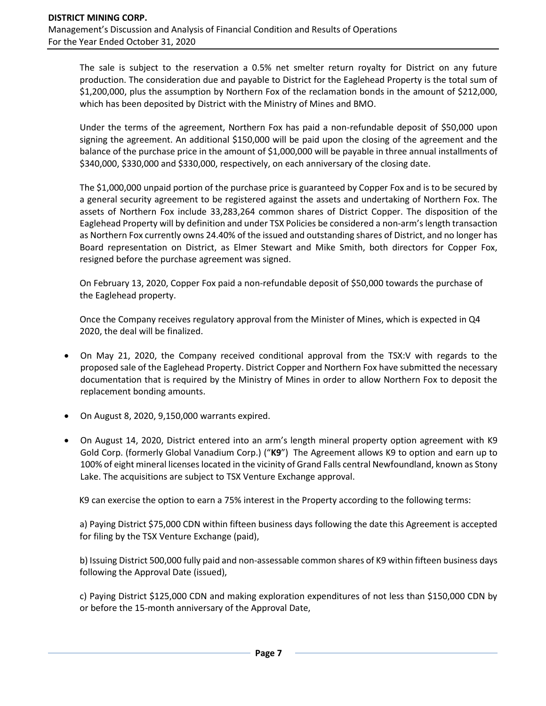The sale is subject to the reservation a 0.5% net smelter return royalty for District on any future production. The consideration due and payable to District for the Eaglehead Property is the total sum of \$1,200,000, plus the assumption by Northern Fox of the reclamation bonds in the amount of \$212,000, which has been deposited by District with the Ministry of Mines and BMO.

Under the terms of the agreement, Northern Fox has paid a non-refundable deposit of \$50,000 upon signing the agreement. An additional \$150,000 will be paid upon the closing of the agreement and the balance of the purchase price in the amount of \$1,000,000 will be payable in three annual installments of \$340,000, \$330,000 and \$330,000, respectively, on each anniversary of the closing date.

The \$1,000,000 unpaid portion of the purchase price is guaranteed by Copper Fox and is to be secured by a general security agreement to be registered against the assets and undertaking of Northern Fox. The assets of Northern Fox include 33,283,264 common shares of District Copper. The disposition of the Eaglehead Property will by definition and under TSX Policies be considered a non-arm's length transaction as Northern Fox currently owns 24.40% of the issued and outstanding shares of District, and no longer has Board representation on District, as Elmer Stewart and Mike Smith, both directors for Copper Fox, resigned before the purchase agreement was signed.

On February 13, 2020, Copper Fox paid a non-refundable deposit of \$50,000 towards the purchase of the Eaglehead property.

Once the Company receives regulatory approval from the Minister of Mines, which is expected in Q4 2020, the deal will be finalized.

- On May 21, 2020, the Company received conditional approval from the TSX:V with regards to the proposed sale of the Eaglehead Property. District Copper and Northern Fox have submitted the necessary documentation that is required by the Ministry of Mines in order to allow Northern Fox to deposit the replacement bonding amounts.
- On August 8, 2020, 9,150,000 warrants expired.
- On August 14, 2020, District entered into an arm's length mineral property option agreement with K9 Gold Corp. (formerly Global Vanadium Corp.) ("**K9**") The Agreement allows K9 to option and earn up to 100% of eight mineral licenses located in the vicinity of Grand Falls central Newfoundland, known as Stony Lake. The acquisitions are subject to TSX Venture Exchange approval.

K9 can exercise the option to earn a 75% interest in the Property according to the following terms:

a) Paying District \$75,000 CDN within fifteen business days following the date this Agreement is accepted for filing by the TSX Venture Exchange (paid),

b) Issuing District 500,000 fully paid and non-assessable common shares of K9 within fifteen business days following the Approval Date (issued),

c) Paying District \$125,000 CDN and making exploration expenditures of not less than \$150,000 CDN by or before the 15-month anniversary of the Approval Date,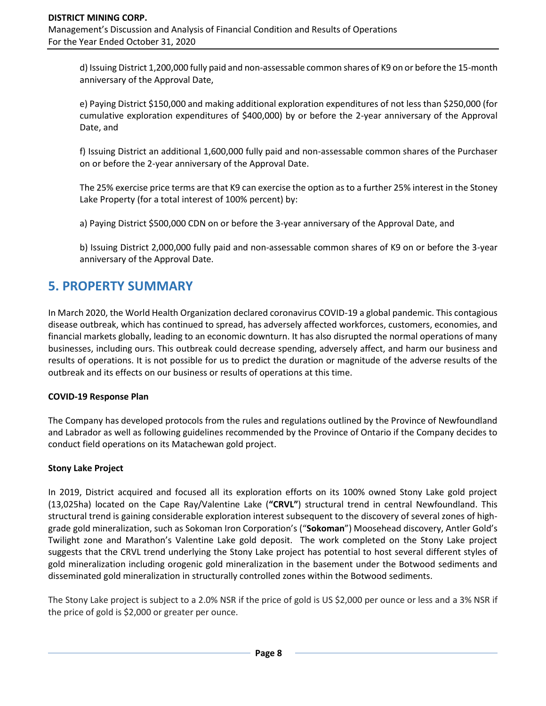d) Issuing District 1,200,000 fully paid and non-assessable common shares of K9 on or before the 15-month anniversary of the Approval Date,

e) Paying District \$150,000 and making additional exploration expenditures of not less than \$250,000 (for cumulative exploration expenditures of \$400,000) by or before the 2-year anniversary of the Approval Date, and

f) Issuing District an additional 1,600,000 fully paid and non-assessable common shares of the Purchaser on or before the 2-year anniversary of the Approval Date.

The 25% exercise price terms are that K9 can exercise the option as to a further 25% interest in the Stoney Lake Property (for a total interest of 100% percent) by:

a) Paying District \$500,000 CDN on or before the 3-year anniversary of the Approval Date, and

b) Issuing District 2,000,000 fully paid and non-assessable common shares of K9 on or before the 3-year anniversary of the Approval Date.

## **5. PROPERTY SUMMARY**

In March 2020, the World Health Organization declared coronavirus COVID-19 a global pandemic. This contagious disease outbreak, which has continued to spread, has adversely affected workforces, customers, economies, and financial markets globally, leading to an economic downturn. It has also disrupted the normal operations of many businesses, including ours. This outbreak could decrease spending, adversely affect, and harm our business and results of operations. It is not possible for us to predict the duration or magnitude of the adverse results of the outbreak and its effects on our business or results of operations at this time.

### **COVID-19 Response Plan**

The Company has developed protocols from the rules and regulations outlined by the Province of Newfoundland and Labrador as well as following guidelines recommended by the Province of Ontario if the Company decides to conduct field operations on its Matachewan gold project.

### **Stony Lake Project**

In 2019, District acquired and focused all its exploration efforts on its 100% owned Stony Lake gold project (13,025ha) located on the Cape Ray/Valentine Lake (**"CRVL"**) structural trend in central Newfoundland. This structural trend is gaining considerable exploration interest subsequent to the discovery of several zones of highgrade gold mineralization, such as Sokoman Iron Corporation's ("**Sokoman**") Moosehead discovery, Antler Gold's Twilight zone and Marathon's Valentine Lake gold deposit. The work completed on the Stony Lake project suggests that the CRVL trend underlying the Stony Lake project has potential to host several different styles of gold mineralization including orogenic gold mineralization in the basement under the Botwood sediments and disseminated gold mineralization in structurally controlled zones within the Botwood sediments.

The Stony Lake project is subject to a 2.0% NSR if the price of gold is US \$2,000 per ounce or less and a 3% NSR if the price of gold is \$2,000 or greater per ounce.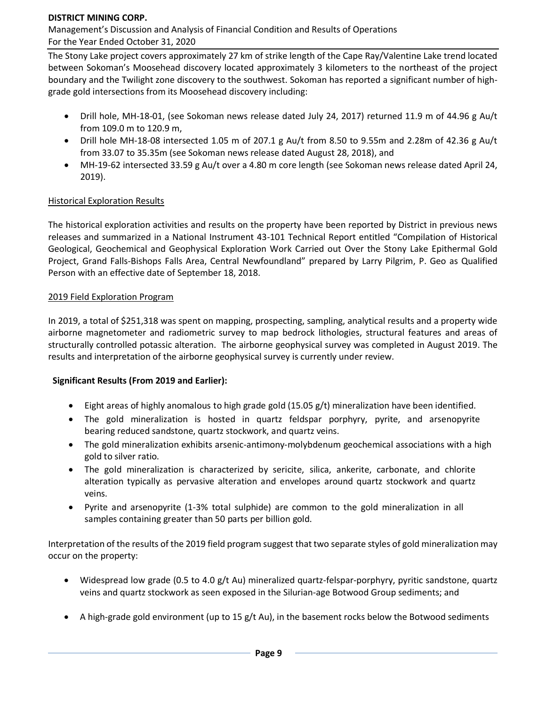### **DISTRICT MINING CORP.**

Management's Discussion and Analysis of Financial Condition and Results of Operations For the Year Ended October 31, 2020

The Stony Lake project covers approximately 27 km of strike length of the Cape Ray/Valentine Lake trend located between Sokoman's Moosehead discovery located approximately 3 kilometers to the northeast of the project boundary and the Twilight zone discovery to the southwest. Sokoman has reported a significant number of highgrade gold intersections from its Moosehead discovery including:

- Drill hole, MH-18-01, (see Sokoman news release dated July 24, 2017) returned 11.9 m of 44.96 g Au/t from 109.0 m to 120.9 m,
- Drill hole MH-18-08 intersected 1.05 m of 207.1 g Au/t from 8.50 to 9.55m and 2.28m of 42.36 g Au/t from 33.07 to 35.35m (see Sokoman news release dated August 28, 2018), and
- MH-19-62 intersected 33.59 g Au/t over a 4.80 m core length (see Sokoman news release dated April 24, 2019).

#### **Historical Exploration Results**

The historical exploration activities and results on the property have been reported by District in previous news releases and summarized in a National Instrument 43-101 Technical Report entitled "Compilation of Historical Geological, Geochemical and Geophysical Exploration Work Carried out Over the Stony Lake Epithermal Gold Project, Grand Falls-Bishops Falls Area, Central Newfoundland" prepared by Larry Pilgrim, P. Geo as Qualified Person with an effective date of September 18, 2018.

#### 2019 Field Exploration Program

In 2019, a total of \$251,318 was spent on mapping, prospecting, sampling, analytical results and a property wide airborne magnetometer and radiometric survey to map bedrock lithologies, structural features and areas of structurally controlled potassic alteration. The airborne geophysical survey was completed in August 2019. The results and interpretation of the airborne geophysical survey is currently under review.

### **Significant Results (From 2019 and Earlier):**

- Eight areas of highly anomalous to high grade gold (15.05 g/t) mineralization have been identified.
- The gold mineralization is hosted in quartz feldspar porphyry, pyrite, and arsenopyrite bearing reduced sandstone, quartz stockwork, and quartz veins.
- The gold mineralization exhibits arsenic-antimony-molybdenum geochemical associations with a high gold to silver ratio.
- The gold mineralization is characterized by sericite, silica, ankerite, carbonate, and chlorite alteration typically as pervasive alteration and envelopes around quartz stockwork and quartz veins.
- Pyrite and arsenopyrite (1-3% total sulphide) are common to the gold mineralization in all samples containing greater than 50 parts per billion gold.

Interpretation of the results of the 2019 field program suggest that two separate styles of gold mineralization may occur on the property:

- Widespread low grade (0.5 to 4.0 g/t Au) mineralized quartz-felspar-porphyry, pyritic sandstone, quartz veins and quartz stockwork as seen exposed in the Silurian-age Botwood Group sediments; and
- A high-grade gold environment (up to 15 g/t Au), in the basement rocks below the Botwood sediments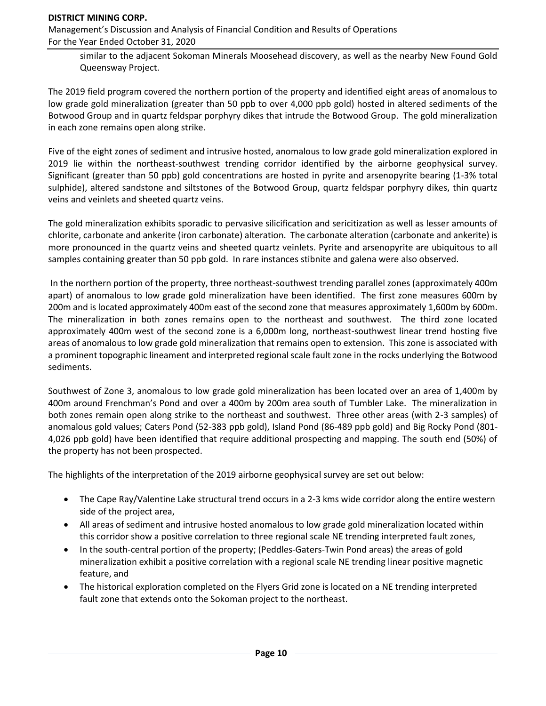#### **DISTRICT MINING CORP.**

Management's Discussion and Analysis of Financial Condition and Results of Operations For the Year Ended October 31, 2020

similar to the adjacent Sokoman Minerals Moosehead discovery, as well as the nearby New Found Gold Queensway Project.

The 2019 field program covered the northern portion of the property and identified eight areas of anomalous to low grade gold mineralization (greater than 50 ppb to over 4,000 ppb gold) hosted in altered sediments of the Botwood Group and in quartz feldspar porphyry dikes that intrude the Botwood Group. The gold mineralization in each zone remains open along strike.

Five of the eight zones of sediment and intrusive hosted, anomalous to low grade gold mineralization explored in 2019 lie within the northeast-southwest trending corridor identified by the airborne geophysical survey. Significant (greater than 50 ppb) gold concentrations are hosted in pyrite and arsenopyrite bearing (1-3% total sulphide), altered sandstone and siltstones of the Botwood Group, quartz feldspar porphyry dikes, thin quartz veins and veinlets and sheeted quartz veins.

The gold mineralization exhibits sporadic to pervasive silicification and sericitization as well as lesser amounts of chlorite, carbonate and ankerite (iron carbonate) alteration. The carbonate alteration (carbonate and ankerite) is more pronounced in the quartz veins and sheeted quartz veinlets. Pyrite and arsenopyrite are ubiquitous to all samples containing greater than 50 ppb gold. In rare instances stibnite and galena were also observed.

In the northern portion of the property, three northeast-southwest trending parallel zones (approximately 400m apart) of anomalous to low grade gold mineralization have been identified. The first zone measures 600m by 200m and is located approximately 400m east of the second zone that measures approximately 1,600m by 600m. The mineralization in both zones remains open to the northeast and southwest. The third zone located approximately 400m west of the second zone is a 6,000m long, northeast-southwest linear trend hosting five areas of anomalous to low grade gold mineralization that remains open to extension. This zone is associated with a prominent topographic lineament and interpreted regional scale fault zone in the rocks underlying the Botwood sediments.

Southwest of Zone 3, anomalous to low grade gold mineralization has been located over an area of 1,400m by 400m around Frenchman's Pond and over a 400m by 200m area south of Tumbler Lake. The mineralization in both zones remain open along strike to the northeast and southwest. Three other areas (with 2-3 samples) of anomalous gold values; Caters Pond (52-383 ppb gold), Island Pond (86-489 ppb gold) and Big Rocky Pond (801- 4,026 ppb gold) have been identified that require additional prospecting and mapping. The south end (50%) of the property has not been prospected.

The highlights of the interpretation of the 2019 airborne geophysical survey are set out below:

- The Cape Ray/Valentine Lake structural trend occurs in a 2-3 kms wide corridor along the entire western side of the project area,
- All areas of sediment and intrusive hosted anomalous to low grade gold mineralization located within this corridor show a positive correlation to three regional scale NE trending interpreted fault zones,
- In the south-central portion of the property; (Peddles-Gaters-Twin Pond areas) the areas of gold mineralization exhibit a positive correlation with a regional scale NE trending linear positive magnetic feature, and
- The historical exploration completed on the Flyers Grid zone is located on a NE trending interpreted fault zone that extends onto the Sokoman project to the northeast.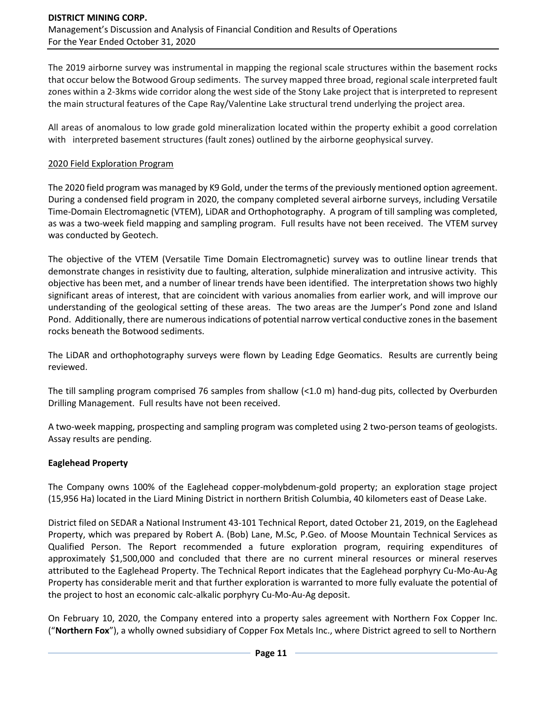The 2019 airborne survey was instrumental in mapping the regional scale structures within the basement rocks that occur below the Botwood Group sediments. The survey mapped three broad, regional scale interpreted fault zones within a 2-3kms wide corridor along the west side of the Stony Lake project that is interpreted to represent the main structural features of the Cape Ray/Valentine Lake structural trend underlying the project area.

All areas of anomalous to low grade gold mineralization located within the property exhibit a good correlation with interpreted basement structures (fault zones) outlined by the airborne geophysical survey.

### 2020 Field Exploration Program

The 2020 field program was managed by K9 Gold, under the terms of the previously mentioned option agreement. During a condensed field program in 2020, the company completed several airborne surveys, including Versatile Time-Domain Electromagnetic (VTEM), LiDAR and Orthophotography. A program of till sampling was completed, as was a two-week field mapping and sampling program. Full results have not been received. The VTEM survey was conducted by Geotech.

The objective of the VTEM (Versatile Time Domain Electromagnetic) survey was to outline linear trends that demonstrate changes in resistivity due to faulting, alteration, sulphide mineralization and intrusive activity. This objective has been met, and a number of linear trends have been identified. The interpretation shows two highly significant areas of interest, that are coincident with various anomalies from earlier work, and will improve our understanding of the geological setting of these areas. The two areas are the Jumper's Pond zone and Island Pond. Additionally, there are numerous indications of potential narrow vertical conductive zones in the basement rocks beneath the Botwood sediments.

The LiDAR and orthophotography surveys were flown by Leading Edge Geomatics. Results are currently being reviewed.

The till sampling program comprised 76 samples from shallow (<1.0 m) hand-dug pits, collected by Overburden Drilling Management. Full results have not been received.

A two-week mapping, prospecting and sampling program was completed using 2 two-person teams of geologists. Assay results are pending.

### **Eaglehead Property**

The Company owns 100% of the Eaglehead copper-molybdenum-gold property; an exploration stage project (15,956 Ha) located in the Liard Mining District in northern British Columbia, 40 kilometers east of Dease Lake.

District filed on SEDAR a National Instrument 43-101 Technical Report, dated October 21, 2019, on the Eaglehead Property, which was prepared by Robert A. (Bob) Lane, M.Sc, P.Geo. of Moose Mountain Technical Services as Qualified Person. The Report recommended a future exploration program, requiring expenditures of approximately \$1,500,000 and concluded that there are no current mineral resources or mineral reserves attributed to the Eaglehead Property. The Technical Report indicates that the Eaglehead porphyry Cu-Mo-Au-Ag Property has considerable merit and that further exploration is warranted to more fully evaluate the potential of the project to host an economic calc-alkalic porphyry Cu-Mo-Au-Ag deposit.

On February 10, 2020, the Company entered into a property sales agreement with Northern Fox Copper Inc. ("**Northern Fox**"), a wholly owned subsidiary of Copper Fox Metals Inc., where District agreed to sell to Northern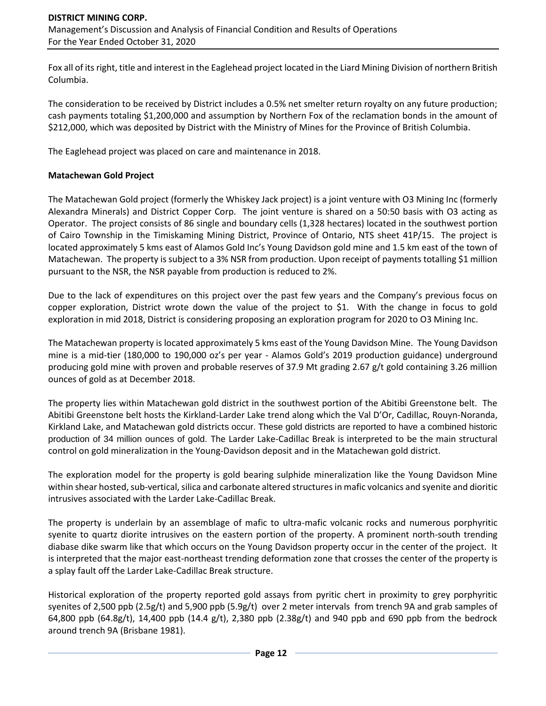Fox all of its right, title and interest in the Eaglehead project located in the Liard Mining Division of northern British Columbia.

The consideration to be received by District includes a 0.5% net smelter return royalty on any future production; cash payments totaling \$1,200,000 and assumption by Northern Fox of the reclamation bonds in the amount of \$212,000, which was deposited by District with the Ministry of Mines for the Province of British Columbia.

The Eaglehead project was placed on care and maintenance in 2018.

#### **Matachewan Gold Project**

The Matachewan Gold project (formerly the Whiskey Jack project) is a joint venture with O3 Mining Inc (formerly Alexandra Minerals) and District Copper Corp. The joint venture is shared on a 50:50 basis with O3 acting as Operator. The project consists of 86 single and boundary cells (1,328 hectares) located in the southwest portion of Cairo Township in the Timiskaming Mining District, Province of Ontario, NTS sheet 41P/15. The project is located approximately 5 kms east of Alamos Gold Inc's Young Davidson gold mine and 1.5 km east of the town of Matachewan. The property is subject to a 3% NSR from production. Upon receipt of payments totalling \$1 million pursuant to the NSR, the NSR payable from production is reduced to 2%.

Due to the lack of expenditures on this project over the past few years and the Company's previous focus on copper exploration, District wrote down the value of the project to \$1. With the change in focus to gold exploration in mid 2018, District is considering proposing an exploration program for 2020 to O3 Mining Inc.

The Matachewan property is located approximately 5 kms east of the Young Davidson Mine. The Young Davidson mine is a mid-tier (180,000 to 190,000 oz's per year - Alamos Gold's 2019 production guidance) underground producing gold mine with proven and probable reserves of 37.9 Mt grading 2.67 g/t gold containing 3.26 million ounces of gold as at December 2018.

The property lies within Matachewan gold district in the southwest portion of the Abitibi Greenstone belt. The Abitibi Greenstone belt hosts the Kirkland-Larder Lake trend along which the Val D'Or, Cadillac, Rouyn-Noranda, Kirkland Lake, and Matachewan gold districts occur. These gold districts are reported to have a combined historic production of 34 million ounces of gold. The Larder Lake-Cadillac Break is interpreted to be the main structural control on gold mineralization in the Young-Davidson deposit and in the Matachewan gold district.

The exploration model for the property is gold bearing sulphide mineralization like the Young Davidson Mine within shear hosted, sub-vertical, silica and carbonate altered structures in mafic volcanics and syenite and dioritic intrusives associated with the Larder Lake-Cadillac Break.

The property is underlain by an assemblage of mafic to ultra-mafic volcanic rocks and numerous porphyritic syenite to quartz diorite intrusives on the eastern portion of the property. A prominent north-south trending diabase dike swarm like that which occurs on the Young Davidson property occur in the center of the project. It is interpreted that the major east-northeast trending deformation zone that crosses the center of the property is a splay fault off the Larder Lake-Cadillac Break structure.

Historical exploration of the property reported gold assays from pyritic chert in proximity to grey porphyritic syenites of 2,500 ppb (2.5g/t) and 5,900 ppb (5.9g/t) over 2 meter intervals from trench 9A and grab samples of 64,800 ppb (64.8g/t), 14,400 ppb (14.4 g/t), 2,380 ppb (2.38g/t) and 940 ppb and 690 ppb from the bedrock around trench 9A (Brisbane 1981).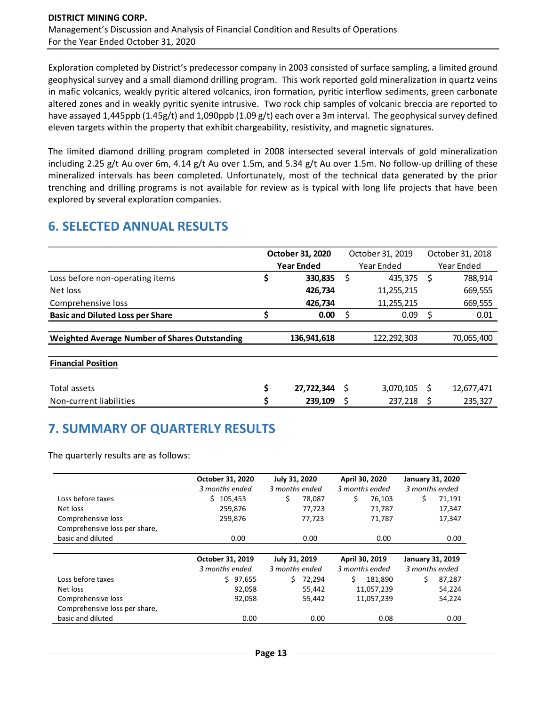Exploration completed by District's predecessor company in 2003 consisted of surface sampling, a limited ground geophysical survey and a small diamond drilling program. This work reported gold mineralization in quartz veins in mafic volcanics, weakly pyritic altered volcanics, iron formation, pyritic interflow sediments, green carbonate altered zones and in weakly pyritic syenite intrusive. Two rock chip samples of volcanic breccia are reported to have assayed 1,445ppb (1.45g/t) and 1,090ppb (1.09 g/t) each over a 3m interval. The geophysical survey defined eleven targets within the property that exhibit chargeability, resistivity, and magnetic signatures.

The limited diamond drilling program completed in 2008 intersected several intervals of gold mineralization including 2.25 g/t Au over 6m, 4.14 g/t Au over 1.5m, and 5.34 g/t Au over 1.5m. No follow-up drilling of these mineralized intervals has been completed. Unfortunately, most of the technical data generated by the prior trenching and drilling programs is not available for review as is typical with long life projects that have been explored by several exploration companies.

# **6. SELECTED ANNUAL RESULTS**

|                                               | October 31, 2020  |             |   | October 31, 2019 |   | October 31, 2018 |  |
|-----------------------------------------------|-------------------|-------------|---|------------------|---|------------------|--|
|                                               | <b>Year Ended</b> |             |   | Year Ended       |   | Year Ended       |  |
| Loss before non-operating items               | \$                | 330,835     | S | 435,375          | S | 788,914          |  |
| Net loss                                      |                   | 426,734     |   | 11,255,215       |   | 669,555          |  |
| Comprehensive loss                            |                   | 426,734     |   | 11,255,215       |   | 669,555          |  |
| <b>Basic and Diluted Loss per Share</b>       |                   | 0.00        | S | 0.09             | Ś | 0.01             |  |
|                                               |                   |             |   |                  |   |                  |  |
| Weighted Average Number of Shares Outstanding |                   | 136,941,618 |   | 122,292,303      |   | 70,065,400       |  |
| <b>Financial Position</b>                     |                   |             |   |                  |   |                  |  |
|                                               |                   |             |   |                  |   |                  |  |
| Total assets                                  | \$                | 27,722,344  | S | 3,070,105        | S | 12,677,471       |  |
| Non-current liabilities                       | \$                | 239,109     |   | 237,218          |   | 235,327          |  |

# **7. SUMMARY OF QUARTERLY RESULTS**

The quarterly results are as follows:

|                               | October 31, 2020<br>3 months ended | July 31, 2020<br>3 months ended | April 30, 2020<br>3 months ended | <b>January 31, 2020</b><br>3 months ended |
|-------------------------------|------------------------------------|---------------------------------|----------------------------------|-------------------------------------------|
| Loss before taxes             | Ś.<br>105,453                      | \$<br>78,087                    | \$<br>76,103                     | \$<br>71,191                              |
| Net loss                      | 259,876                            | 77,723                          | 71,787                           | 17,347                                    |
| Comprehensive loss            | 259,876                            | 77,723                          | 71,787                           | 17,347                                    |
| Comprehensive loss per share, |                                    |                                 |                                  |                                           |
| basic and diluted             | 0.00                               | 0.00                            | 0.00                             | 0.00                                      |
|                               |                                    |                                 |                                  |                                           |
|                               | October 31, 2019                   | July 31, 2019                   | April 30, 2019                   | <b>January 31, 2019</b>                   |
|                               | 3 months ended                     | 3 months ended                  | 3 months ended                   | 3 months ended                            |
| Loss before taxes             | \$97,655                           | 72.294<br>Ś.                    | Ś.<br>181,890                    | Ś<br>87,287                               |
| Net loss                      | 92,058                             | 55,442                          | 11,057,239                       | 54,224                                    |
| Comprehensive loss            | 92,058                             | 55,442                          | 11,057,239                       | 54,224                                    |
| Comprehensive loss per share, |                                    |                                 |                                  |                                           |
| basic and diluted             | 0.00                               | 0.00                            | 0.08                             | 0.00                                      |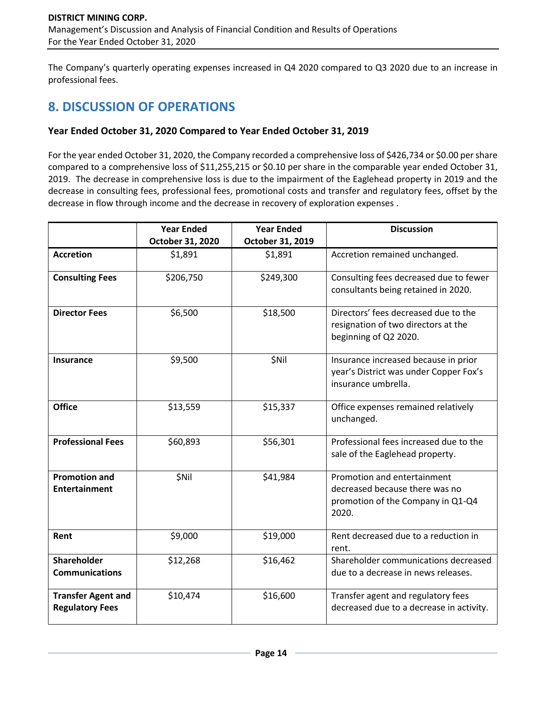The Company's quarterly operating expenses increased in Q4 2020 compared to Q3 2020 due to an increase in professional fees.

# **8. DISCUSSION OF OPERATIONS**

## **Year Ended October 31, 2020 Compared to Year Ended October 31, 2019**

For the year ended October 31, 2020, the Company recorded a comprehensive loss of \$426,734 or \$0.00 per share compared to a comprehensive loss of \$11,255,215 or \$0.10 per share in the comparable year ended October 31, 2019. The decrease in comprehensive loss is due to the impairment of the Eaglehead property in 2019 and the decrease in consulting fees, professional fees, promotional costs and transfer and regulatory fees, offset by the decrease in flow through income and the decrease in recovery of exploration expenses .

|                                                     | <b>Year Ended</b> | <b>Year Ended</b> | <b>Discussion</b>                                                                                           |
|-----------------------------------------------------|-------------------|-------------------|-------------------------------------------------------------------------------------------------------------|
|                                                     | October 31, 2020  | October 31, 2019  |                                                                                                             |
| <b>Accretion</b>                                    | \$1,891           | \$1,891           | Accretion remained unchanged.                                                                               |
| <b>Consulting Fees</b>                              | \$206,750         | \$249,300         | Consulting fees decreased due to fewer<br>consultants being retained in 2020.                               |
| <b>Director Fees</b>                                | \$6,500           | \$18,500          | Directors' fees decreased due to the<br>resignation of two directors at the<br>beginning of Q2 2020.        |
| <b>Insurance</b>                                    | \$9,500           | \$Nil             | Insurance increased because in prior<br>year's District was under Copper Fox's<br>insurance umbrella.       |
| <b>Office</b>                                       | \$13,559          | \$15,337          | Office expenses remained relatively<br>unchanged.                                                           |
| <b>Professional Fees</b>                            | \$60,893          | \$56,301          | Professional fees increased due to the<br>sale of the Eaglehead property.                                   |
| <b>Promotion and</b><br><b>Entertainment</b>        | \$Nil             | \$41,984          | Promotion and entertainment<br>decreased because there was no<br>promotion of the Company in Q1-Q4<br>2020. |
| Rent                                                | \$9,000           | \$19,000          | Rent decreased due to a reduction in<br>rent.                                                               |
| <b>Shareholder</b><br><b>Communications</b>         | \$12,268          | \$16,462          | Shareholder communications decreased<br>due to a decrease in news releases.                                 |
| <b>Transfer Agent and</b><br><b>Regulatory Fees</b> | \$10,474          | \$16,600          | Transfer agent and regulatory fees<br>decreased due to a decrease in activity.                              |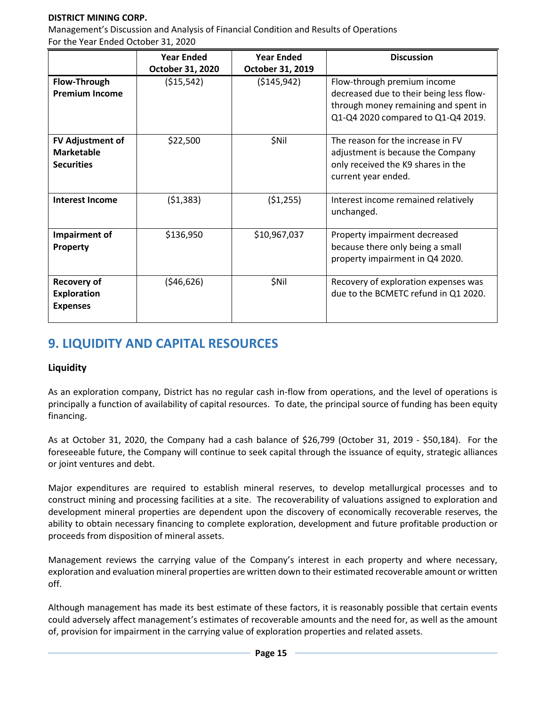### **DISTRICT MINING CORP.**

Management's Discussion and Analysis of Financial Condition and Results of Operations For the Year Ended October 31, 2020

|                         | <b>Year Ended</b> | <b>Year Ended</b> | <b>Discussion</b>                       |
|-------------------------|-------------------|-------------------|-----------------------------------------|
|                         | October 31, 2020  | October 31, 2019  |                                         |
| Flow-Through            | ( \$15, 542)      | ( \$145, 942)     | Flow-through premium income             |
| <b>Premium Income</b>   |                   |                   | decreased due to their being less flow- |
|                         |                   |                   | through money remaining and spent in    |
|                         |                   |                   | Q1-Q4 2020 compared to Q1-Q4 2019.      |
|                         |                   |                   |                                         |
| <b>FV Adjustment of</b> | \$22,500          | \$Nil             | The reason for the increase in FV       |
| <b>Marketable</b>       |                   |                   | adjustment is because the Company       |
| <b>Securities</b>       |                   |                   | only received the K9 shares in the      |
|                         |                   |                   | current year ended.                     |
|                         |                   |                   |                                         |
| <b>Interest Income</b>  | (51, 383)         | (51, 255)         | Interest income remained relatively     |
|                         |                   |                   | unchanged.                              |
|                         |                   |                   |                                         |
| Impairment of           | \$136,950         | \$10,967,037      | Property impairment decreased           |
| Property                |                   |                   | because there only being a small        |
|                         |                   |                   | property impairment in Q4 2020.         |
|                         |                   |                   |                                         |
| <b>Recovery of</b>      | (546, 626)        | \$Nil             | Recovery of exploration expenses was    |
| <b>Exploration</b>      |                   |                   | due to the BCMETC refund in Q1 2020.    |
| <b>Expenses</b>         |                   |                   |                                         |
|                         |                   |                   |                                         |

# **9. LIQUIDITY AND CAPITAL RESOURCES**

## **Liquidity**

As an exploration company, District has no regular cash in-flow from operations, and the level of operations is principally a function of availability of capital resources. To date, the principal source of funding has been equity financing.

As at October 31, 2020, the Company had a cash balance of \$26,799 (October 31, 2019 - \$50,184). For the foreseeable future, the Company will continue to seek capital through the issuance of equity, strategic alliances or joint ventures and debt.

Major expenditures are required to establish mineral reserves, to develop metallurgical processes and to construct mining and processing facilities at a site. The recoverability of valuations assigned to exploration and development mineral properties are dependent upon the discovery of economically recoverable reserves, the ability to obtain necessary financing to complete exploration, development and future profitable production or proceeds from disposition of mineral assets.

Management reviews the carrying value of the Company's interest in each property and where necessary, exploration and evaluation mineral properties are written down to their estimated recoverable amount or written off.

Although management has made its best estimate of these factors, it is reasonably possible that certain events could adversely affect management's estimates of recoverable amounts and the need for, as well as the amount of, provision for impairment in the carrying value of exploration properties and related assets.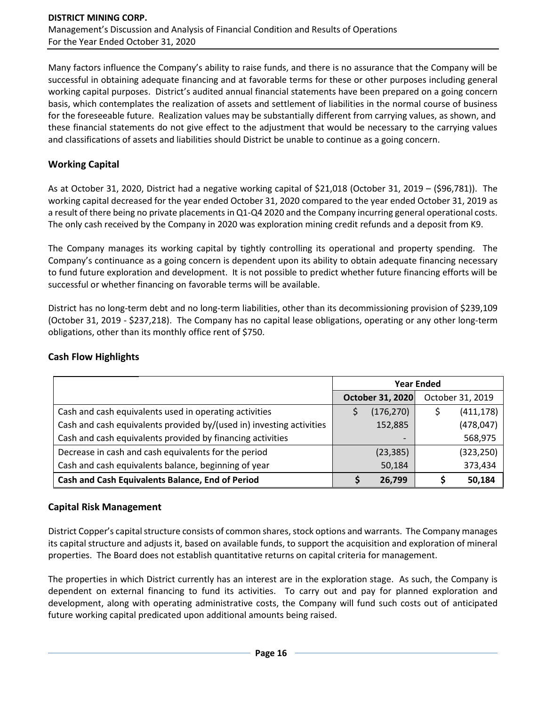Many factors influence the Company's ability to raise funds, and there is no assurance that the Company will be successful in obtaining adequate financing and at favorable terms for these or other purposes including general working capital purposes. District's audited annual financial statements have been prepared on a going concern basis, which contemplates the realization of assets and settlement of liabilities in the normal course of business for the foreseeable future. Realization values may be substantially different from carrying values, as shown, and these financial statements do not give effect to the adjustment that would be necessary to the carrying values and classifications of assets and liabilities should District be unable to continue as a going concern.

## **Working Capital**

As at October 31, 2020, District had a negative working capital of \$21,018 (October 31, 2019 – (\$96,781)). The working capital decreased for the year ended October 31, 2020 compared to the year ended October 31, 2019 as a result of there being no private placements in Q1-Q4 2020 and the Company incurring general operational costs. The only cash received by the Company in 2020 was exploration mining credit refunds and a deposit from K9.

The Company manages its working capital by tightly controlling its operational and property spending. The Company's continuance as a going concern is dependent upon its ability to obtain adequate financing necessary to fund future exploration and development. It is not possible to predict whether future financing efforts will be successful or whether financing on favorable terms will be available.

District has no long-term debt and no long-term liabilities, other than its decommissioning provision of \$239,109 (October 31, 2019 - \$237,218). The Company has no capital lease obligations, operating or any other long-term obligations, other than its monthly office rent of \$750.

|                                                                      | <b>Year Ended</b> |                  |  |                  |
|----------------------------------------------------------------------|-------------------|------------------|--|------------------|
|                                                                      |                   | October 31, 2020 |  | October 31, 2019 |
| Cash and cash equivalents used in operating activities               |                   | (176, 270)       |  | (411, 178)       |
| Cash and cash equivalents provided by/(used in) investing activities |                   | 152,885          |  | (478, 047)       |
| Cash and cash equivalents provided by financing activities           |                   |                  |  | 568,975          |
| Decrease in cash and cash equivalents for the period                 |                   | (23, 385)        |  | (323, 250)       |
| Cash and cash equivalents balance, beginning of year                 |                   | 50,184           |  | 373,434          |
| Cash and Cash Equivalents Balance, End of Period                     |                   | 26,799           |  | 50,184           |

## **Cash Flow Highlights**

## **Capital Risk Management**

District Copper's capital structure consists of common shares, stock options and warrants. The Company manages its capital structure and adjusts it, based on available funds, to support the acquisition and exploration of mineral properties. The Board does not establish quantitative returns on capital criteria for management.

The properties in which District currently has an interest are in the exploration stage. As such, the Company is dependent on external financing to fund its activities. To carry out and pay for planned exploration and development, along with operating administrative costs, the Company will fund such costs out of anticipated future working capital predicated upon additional amounts being raised.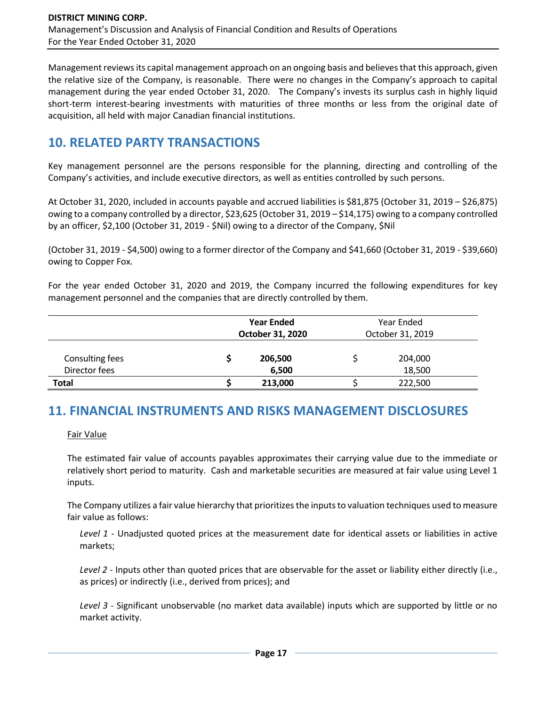Management reviews its capital management approach on an ongoing basis and believes that this approach, given the relative size of the Company, is reasonable. There were no changes in the Company's approach to capital management during the year ended October 31, 2020. The Company's invests its surplus cash in highly liquid short-term interest-bearing investments with maturities of three months or less from the original date of acquisition, all held with major Canadian financial institutions.

# **10. RELATED PARTY TRANSACTIONS**

Key management personnel are the persons responsible for the planning, directing and controlling of the Company's activities, and include executive directors, as well as entities controlled by such persons.

At October 31, 2020, included in accounts payable and accrued liabilities is \$81,875 (October 31, 2019 – \$26,875) owing to a company controlled by a director, \$23,625 (October 31, 2019 – \$14,175) owing to a company controlled by an officer, \$2,100 (October 31, 2019 - \$Nil) owing to a director of the Company, \$Nil

(October 31, 2019 - \$4,500) owing to a former director of the Company and \$41,660 (October 31, 2019 - \$39,660) owing to Copper Fox.

For the year ended October 31, 2020 and 2019, the Company incurred the following expenditures for key management personnel and the companies that are directly controlled by them.

|                                  | <b>Year Ended</b><br>October 31, 2020 | Year Ended<br>October 31, 2019 |  |
|----------------------------------|---------------------------------------|--------------------------------|--|
| Consulting fees<br>Director fees | 206,500<br>6,500                      | 204,000<br>18,500              |  |
| <b>Total</b>                     | 213,000                               | 222,500                        |  |

# **11. FINANCIAL INSTRUMENTS AND RISKS MANAGEMENT DISCLOSURES**

Fair Value

The estimated fair value of accounts payables approximates their carrying value due to the immediate or relatively short period to maturity. Cash and marketable securities are measured at fair value using Level 1 inputs.

The Company utilizes a fair value hierarchy that prioritizes the inputs to valuation techniques used to measure fair value as follows:

*Level 1* - Unadjusted quoted prices at the measurement date for identical assets or liabilities in active markets;

*Level 2* - Inputs other than quoted prices that are observable for the asset or liability either directly (i.e., as prices) or indirectly (i.e., derived from prices); and

*Level 3* - Significant unobservable (no market data available) inputs which are supported by little or no market activity.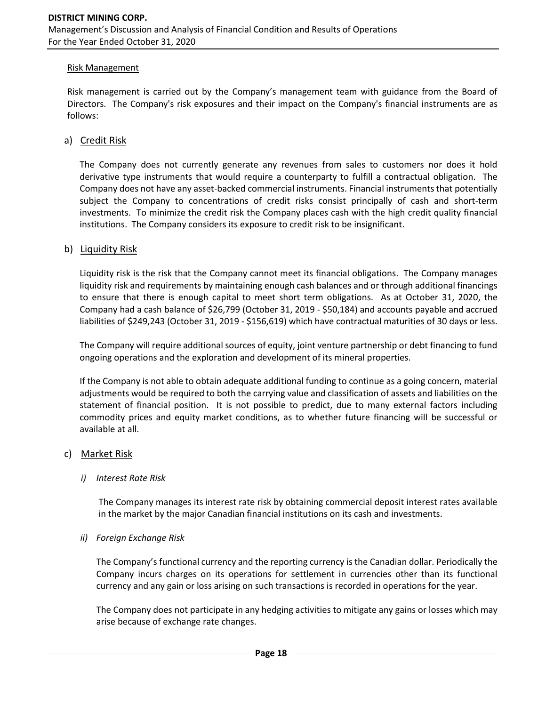#### Risk Management

Risk management is carried out by the Company's management team with guidance from the Board of Directors. The Company's risk exposures and their impact on the Company's financial instruments are as follows:

#### a) Credit Risk

The Company does not currently generate any revenues from sales to customers nor does it hold derivative type instruments that would require a counterparty to fulfill a contractual obligation. The Company does not have any asset-backed commercial instruments. Financial instruments that potentially subject the Company to concentrations of credit risks consist principally of cash and short-term investments. To minimize the credit risk the Company places cash with the high credit quality financial institutions. The Company considers its exposure to credit risk to be insignificant.

#### b) Liquidity Risk

Liquidity risk is the risk that the Company cannot meet its financial obligations. The Company manages liquidity risk and requirements by maintaining enough cash balances and or through additional financings to ensure that there is enough capital to meet short term obligations. As at October 31, 2020, the Company had a cash balance of \$26,799 (October 31, 2019 - \$50,184) and accounts payable and accrued liabilities of \$249,243 (October 31, 2019 - \$156,619) which have contractual maturities of 30 days or less.

The Company will require additional sources of equity, joint venture partnership or debt financing to fund ongoing operations and the exploration and development of its mineral properties.

If the Company is not able to obtain adequate additional funding to continue as a going concern, material adjustments would be required to both the carrying value and classification of assets and liabilities on the statement of financial position. It is not possible to predict, due to many external factors including commodity prices and equity market conditions, as to whether future financing will be successful or available at all.

#### c) Market Risk

#### *i) Interest Rate Risk*

The Company manages its interest rate risk by obtaining commercial deposit interest rates available in the market by the major Canadian financial institutions on its cash and investments.

#### *ii) Foreign Exchange Risk*

The Company's functional currency and the reporting currency is the Canadian dollar. Periodically the Company incurs charges on its operations for settlement in currencies other than its functional currency and any gain or loss arising on such transactions is recorded in operations for the year.

The Company does not participate in any hedging activities to mitigate any gains or losses which may arise because of exchange rate changes.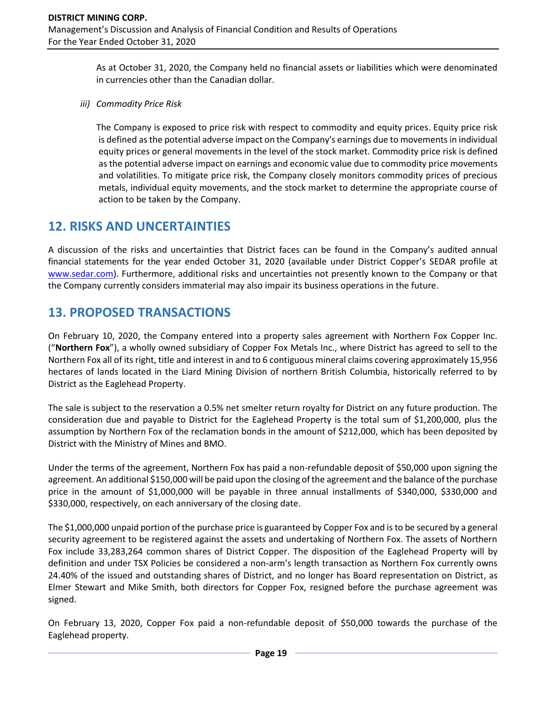As at October 31, 2020, the Company held no financial assets or liabilities which were denominated in currencies other than the Canadian dollar.

*iii) Commodity Price Risk*

The Company is exposed to price risk with respect to commodity and equity prices. Equity price risk is defined as the potential adverse impact on the Company's earnings due to movements in individual equity prices or general movements in the level of the stock market. Commodity price risk is defined as the potential adverse impact on earnings and economic value due to commodity price movements and volatilities. To mitigate price risk, the Company closely monitors commodity prices of precious metals, individual equity movements, and the stock market to determine the appropriate course of action to be taken by the Company.

## **12. RISKS AND UNCERTAINTIES**

A discussion of the risks and uncertainties that District faces can be found in the Company's audited annual financial statements for the year ended October 31, 2020 (available under District Copper's SEDAR profile at [www.sedar.com\)](http://www.sedar.com/). Furthermore, additional risks and uncertainties not presently known to the Company or that the Company currently considers immaterial may also impair its business operations in the future.

# **13. PROPOSED TRANSACTIONS**

On February 10, 2020, the Company entered into a property sales agreement with Northern Fox Copper Inc. ("**Northern Fox**"), a wholly owned subsidiary of Copper Fox Metals Inc., where District has agreed to sell to the Northern Fox all of its right, title and interest in and to 6 contiguous mineral claims covering approximately 15,956 hectares of lands located in the Liard Mining Division of northern British Columbia, historically referred to by District as the Eaglehead Property.

The sale is subject to the reservation a 0.5% net smelter return royalty for District on any future production. The consideration due and payable to District for the Eaglehead Property is the total sum of \$1,200,000, plus the assumption by Northern Fox of the reclamation bonds in the amount of \$212,000, which has been deposited by District with the Ministry of Mines and BMO.

Under the terms of the agreement, Northern Fox has paid a non-refundable deposit of \$50,000 upon signing the agreement. An additional \$150,000 will be paid upon the closing of the agreement and the balance of the purchase price in the amount of \$1,000,000 will be payable in three annual installments of \$340,000, \$330,000 and \$330,000, respectively, on each anniversary of the closing date.

The \$1,000,000 unpaid portion of the purchase price is guaranteed by Copper Fox and is to be secured by a general security agreement to be registered against the assets and undertaking of Northern Fox. The assets of Northern Fox include 33,283,264 common shares of District Copper. The disposition of the Eaglehead Property will by definition and under TSX Policies be considered a non-arm's length transaction as Northern Fox currently owns 24.40% of the issued and outstanding shares of District, and no longer has Board representation on District, as Elmer Stewart and Mike Smith, both directors for Copper Fox, resigned before the purchase agreement was signed.

On February 13, 2020, Copper Fox paid a non-refundable deposit of \$50,000 towards the purchase of the Eaglehead property.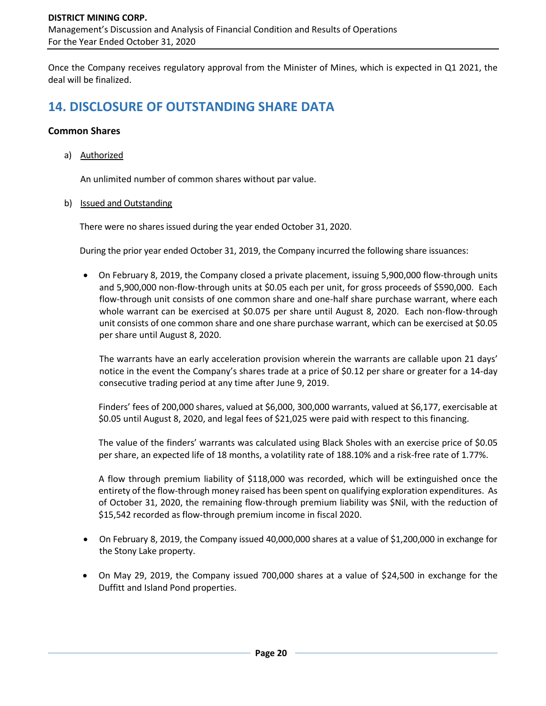Once the Company receives regulatory approval from the Minister of Mines, which is expected in Q1 2021, the deal will be finalized.

# **14. DISCLOSURE OF OUTSTANDING SHARE DATA**

### **Common Shares**

a) Authorized

An unlimited number of common shares without par value.

b) Issued and Outstanding

There were no shares issued during the year ended October 31, 2020.

During the prior year ended October 31, 2019, the Company incurred the following share issuances:

• On February 8, 2019, the Company closed a private placement, issuing 5,900,000 flow-through units and 5,900,000 non-flow-through units at \$0.05 each per unit, for gross proceeds of \$590,000. Each flow-through unit consists of one common share and one-half share purchase warrant, where each whole warrant can be exercised at \$0.075 per share until August 8, 2020. Each non-flow-through unit consists of one common share and one share purchase warrant, which can be exercised at \$0.05 per share until August 8, 2020.

The warrants have an early acceleration provision wherein the warrants are callable upon 21 days' notice in the event the Company's shares trade at a price of \$0.12 per share or greater for a 14-day consecutive trading period at any time after June 9, 2019.

Finders' fees of 200,000 shares, valued at \$6,000, 300,000 warrants, valued at \$6,177, exercisable at \$0.05 until August 8, 2020, and legal fees of \$21,025 were paid with respect to this financing.

The value of the finders' warrants was calculated using Black Sholes with an exercise price of \$0.05 per share, an expected life of 18 months, a volatility rate of 188.10% and a risk-free rate of 1.77%.

A flow through premium liability of \$118,000 was recorded, which will be extinguished once the entirety of the flow-through money raised has been spent on qualifying exploration expenditures. As of October 31, 2020, the remaining flow-through premium liability was \$Nil, with the reduction of \$15,542 recorded as flow-through premium income in fiscal 2020.

- On February 8, 2019, the Company issued 40,000,000 shares at a value of \$1,200,000 in exchange for the Stony Lake property.
- On May 29, 2019, the Company issued 700,000 shares at a value of \$24,500 in exchange for the Duffitt and Island Pond properties.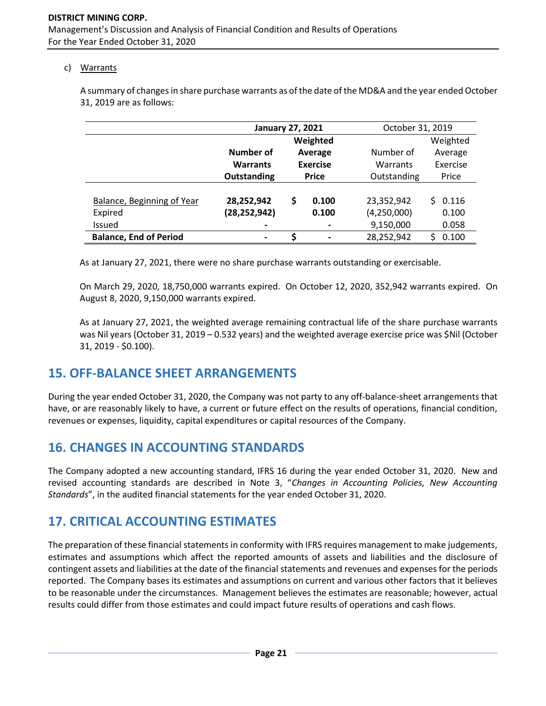### c) Warrants

A summary of changes in share purchase warrants as of the date of the MD&A and the year ended October 31, 2019 are as follows:

|                               | <b>January 27, 2021</b> |                                                |          | October 31, 2019 |             |  |
|-------------------------------|-------------------------|------------------------------------------------|----------|------------------|-------------|--|
|                               |                         |                                                | Weighted |                  | Weighted    |  |
|                               | Number of               |                                                | Average  | Number of        | Average     |  |
|                               | <b>Warrants</b>         | <b>Exercise</b><br>Outstanding<br><b>Price</b> |          | Warrants         | Exercise    |  |
|                               |                         |                                                |          | Outstanding      | Price       |  |
|                               |                         |                                                |          |                  |             |  |
| Balance, Beginning of Year    | 28,252,942              | \$                                             | 0.100    | 23,352,942       | 0.116<br>Š. |  |
| Expired                       | (28, 252, 942)          |                                                | 0.100    | (4,250,000)      | 0.100       |  |
| <b>Issued</b>                 |                         |                                                |          | 9,150,000        | 0.058       |  |
| <b>Balance, End of Period</b> | $\blacksquare$          | Ś                                              |          | 28,252,942       | 0.100<br>c  |  |

As at January 27, 2021, there were no share purchase warrants outstanding or exercisable.

On March 29, 2020, 18,750,000 warrants expired. On October 12, 2020, 352,942 warrants expired. On August 8, 2020, 9,150,000 warrants expired.

As at January 27, 2021, the weighted average remaining contractual life of the share purchase warrants was Nil years (October 31, 2019 – 0.532 years) and the weighted average exercise price was \$Nil (October 31, 2019 - \$0.100).

## **15. OFF-BALANCE SHEET ARRANGEMENTS**

During the year ended October 31, 2020, the Company was not party to any off-balance-sheet arrangements that have, or are reasonably likely to have, a current or future effect on the results of operations, financial condition, revenues or expenses, liquidity, capital expenditures or capital resources of the Company.

# **16. CHANGES IN ACCOUNTING STANDARDS**

The Company adopted a new accounting standard, IFRS 16 during the year ended October 31, 2020. New and revised accounting standards are described in Note 3, "*Changes in Accounting Policies, New Accounting Standards*", in the audited financial statements for the year ended October 31, 2020.

# **17. CRITICAL ACCOUNTING ESTIMATES**

The preparation of these financial statements in conformity with IFRS requires management to make judgements, estimates and assumptions which affect the reported amounts of assets and liabilities and the disclosure of contingent assets and liabilities at the date of the financial statements and revenues and expenses for the periods reported. The Company bases its estimates and assumptions on current and various other factors that it believes to be reasonable under the circumstances. Management believes the estimates are reasonable; however, actual results could differ from those estimates and could impact future results of operations and cash flows.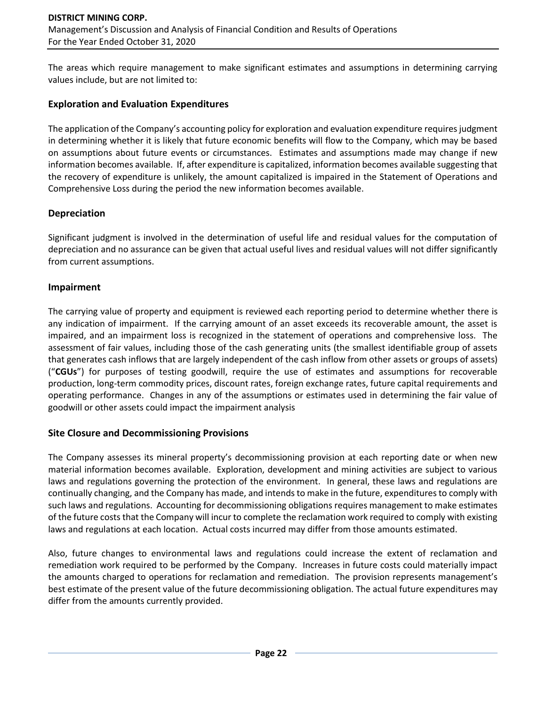The areas which require management to make significant estimates and assumptions in determining carrying values include, but are not limited to:

### **Exploration and Evaluation Expenditures**

The application of the Company's accounting policy for exploration and evaluation expenditure requires judgment in determining whether it is likely that future economic benefits will flow to the Company, which may be based on assumptions about future events or circumstances. Estimates and assumptions made may change if new information becomes available. If, after expenditure is capitalized, information becomes available suggesting that the recovery of expenditure is unlikely, the amount capitalized is impaired in the Statement of Operations and Comprehensive Loss during the period the new information becomes available.

## **Depreciation**

Significant judgment is involved in the determination of useful life and residual values for the computation of depreciation and no assurance can be given that actual useful lives and residual values will not differ significantly from current assumptions.

## **Impairment**

The carrying value of property and equipment is reviewed each reporting period to determine whether there is any indication of impairment. If the carrying amount of an asset exceeds its recoverable amount, the asset is impaired, and an impairment loss is recognized in the statement of operations and comprehensive loss. The assessment of fair values, including those of the cash generating units (the smallest identifiable group of assets that generates cash inflows that are largely independent of the cash inflow from other assets or groups of assets) ("**CGUs**") for purposes of testing goodwill, require the use of estimates and assumptions for recoverable production, long-term commodity prices, discount rates, foreign exchange rates, future capital requirements and operating performance. Changes in any of the assumptions or estimates used in determining the fair value of goodwill or other assets could impact the impairment analysis

### **Site Closure and Decommissioning Provisions**

The Company assesses its mineral property's decommissioning provision at each reporting date or when new material information becomes available. Exploration, development and mining activities are subject to various laws and regulations governing the protection of the environment. In general, these laws and regulations are continually changing, and the Company has made, and intends to make in the future, expenditures to comply with such laws and regulations. Accounting for decommissioning obligations requires management to make estimates of the future costs that the Company will incur to complete the reclamation work required to comply with existing laws and regulations at each location. Actual costs incurred may differ from those amounts estimated.

Also, future changes to environmental laws and regulations could increase the extent of reclamation and remediation work required to be performed by the Company. Increases in future costs could materially impact the amounts charged to operations for reclamation and remediation. The provision represents management's best estimate of the present value of the future decommissioning obligation. The actual future expenditures may differ from the amounts currently provided.